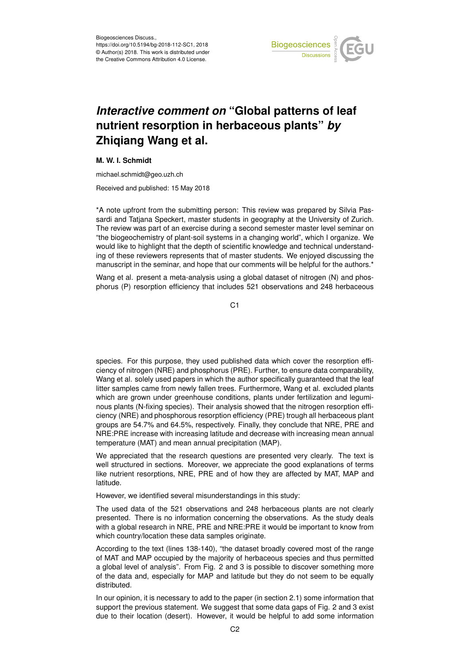

## *Interactive comment on* **"Global patterns of leaf nutrient resorption in herbaceous plants"** *by* **Zhiqiang Wang et al.**

## **M. W. I. Schmidt**

michael.schmidt@geo.uzh.ch

Received and published: 15 May 2018

\*A note upfront from the submitting person: This review was prepared by Silvia Passardi and Tatjana Speckert, master students in geography at the University of Zurich. The review was part of an exercise during a second semester master level seminar on "the biogeochemistry of plant-soil systems in a changing world", which I organize. We would like to highlight that the depth of scientific knowledge and technical understanding of these reviewers represents that of master students. We enjoyed discussing the manuscript in the seminar, and hope that our comments will be helpful for the authors.\*

Wang et al. present a meta-analysis using a global dataset of nitrogen (N) and phosphorus (P) resorption efficiency that includes 521 observations and 248 herbaceous

C<sub>1</sub>

species. For this purpose, they used published data which cover the resorption efficiency of nitrogen (NRE) and phosphorus (PRE). Further, to ensure data comparability, Wang et al. solely used papers in which the author specifically guaranteed that the leaf litter samples came from newly fallen trees. Furthermore, Wang et al. excluded plants which are grown under greenhouse conditions, plants under fertilization and leguminous plants (N-fixing species). Their analysis showed that the nitrogen resorption efficiency (NRE) and phosphorous resorption efficiency (PRE) trough all herbaceous plant groups are 54.7% and 64.5%, respectively. Finally, they conclude that NRE, PRE and NRE:PRE increase with increasing latitude and decrease with increasing mean annual temperature (MAT) and mean annual precipitation (MAP).

We appreciated that the research questions are presented very clearly. The text is well structured in sections. Moreover, we appreciate the good explanations of terms like nutrient resorptions, NRE, PRE and of how they are affected by MAT, MAP and latitude.

However, we identified several misunderstandings in this study:

The used data of the 521 observations and 248 herbaceous plants are not clearly presented. There is no information concerning the observations. As the study deals with a global research in NRE, PRE and NRE:PRE it would be important to know from which country/location these data samples originate.

According to the text (lines 138-140), "the dataset broadly covered most of the range of MAT and MAP occupied by the majority of herbaceous species and thus permitted a global level of analysis". From Fig. 2 and 3 is possible to discover something more of the data and, especially for MAP and latitude but they do not seem to be equally distributed.

In our opinion, it is necessary to add to the paper (in section 2.1) some information that support the previous statement. We suggest that some data gaps of Fig. 2 and 3 exist due to their location (desert). However, it would be helpful to add some information